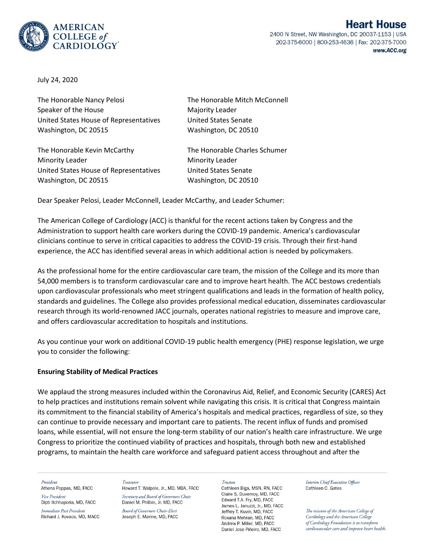

2400 N Street, NW Washington, DC 20037-1153 | USA 202-375-6000 | 800-253-4636 | Fax: 202-375-7000 www.ACC.org

July 24, 2020

The Honorable Nancy Pelosi The Honorable Mitch McConnell Speaker of the House Majority Leader United States House of Representatives United States Senate Washington, DC 20515 Washington, DC 20510

The Honorable Kevin McCarthy The Honorable Charles Schumer Minority Leader Minority Leader United States House of Representatives United States Senate Washington, DC 20515 Washington, DC 20510

Dear Speaker Pelosi, Leader McConnell, Leader McCarthy, and Leader Schumer:

The American College of Cardiology (ACC) is thankful for the recent actions taken by Congress and the Administration to support health care workers during the COVID-19 pandemic. America's cardiovascular clinicians continue to serve in critical capacities to address the COVID-19 crisis. Through their first-hand experience, the ACC has identified several areas in which additional action is needed by policymakers.

As the professional home for the entire cardiovascular care team, the mission of the College and its more than 54,000 members is to transform cardiovascular care and to improve heart health. The ACC bestows credentials upon cardiovascular professionals who meet stringent qualifications and leads in the formation of health policy, standards and guidelines. The College also provides professional medical education, disseminates cardiovascular research through its world-renowned JACC journals, operates national registries to measure and improve care, and offers cardiovascular accreditation to hospitals and institutions.

As you continue your work on additional COVID-19 public health emergency (PHE) response legislation, we urge you to consider the following:

#### **Ensuring Stability of Medical Practices**

We applaud the strong measures included within the Coronavirus Aid, Relief, and Economic Security (CARES) Act to help practices and institutions remain solvent while navigating this crisis. It is critical that Congress maintain its commitment to the financial stability of America's hospitals and medical practices, regardless of size, so they can continue to provide necessary and important care to patients. The recent influx of funds and promised loans, while essential, will not ensure the long-term stability of our nation's health care infrastructure. We urge Congress to prioritize the continued viability of practices and hospitals, through both new and established programs, to maintain the health care workforce and safeguard patient access throughout and after the

President

Athena Poppas, MD, FACC Vice President Dipti Itchhaporia, MD, FACC

Immediate Past President Richard J. Kovacs, MD, MACC Treasurer Howard T. Walpole, Jr., MD, MBA, FACC

Secretary and Board of Governors Chair Daniel M. Philbin, Jr. MD, FACC

Board of Governors Chair-Elect Joseph E. Marine, MD, FACC Trustees

Cathleen Biga, MSN, RN, FACC Claire S. Duvernov, MD. FACC Edward T.A. Fry, MD, FACC James L. Januzzi, Jr., MD, FACC Jeffrey T. Kuvin, MD, FACC Roxana Mehran, MD, FACC Andrew P. Miller, MD. FACC Daniel Jose Piñeiro, MD, FACC

Interim Chief Executive Officer Cathleen C. Gates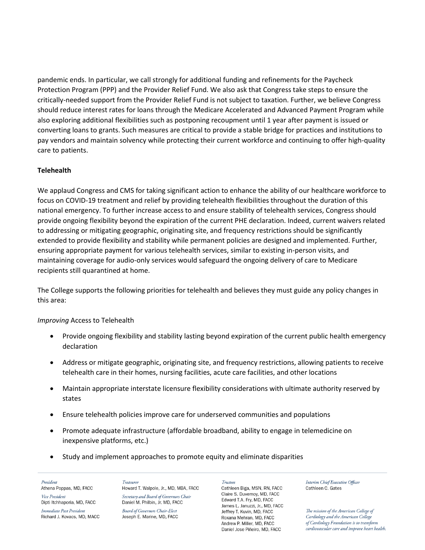pandemic ends. In particular, we call strongly for additional funding and refinements for the Paycheck Protection Program (PPP) and the Provider Relief Fund. We also ask that Congress take steps to ensure the critically-needed support from the Provider Relief Fund is not subject to taxation. Further, we believe Congress should reduce interest rates for loans through the Medicare Accelerated and Advanced Payment Program while also exploring additional flexibilities such as postponing recoupment until 1 year after payment is issued or converting loans to grants. Such measures are critical to provide a stable bridge for practices and institutions to pay vendors and maintain solvency while protecting their current workforce and continuing to offer high-quality care to patients.

# **Telehealth**

We applaud Congress and CMS for taking significant action to enhance the ability of our healthcare workforce to focus on COVID-19 treatment and relief by providing telehealth flexibilities throughout the duration of this national emergency. To further increase access to and ensure stability of telehealth services, Congress should provide ongoing flexibility beyond the expiration of the current PHE declaration. Indeed, current waivers related to addressing or mitigating geographic, originating site, and frequency restrictions should be significantly extended to provide flexibility and stability while permanent policies are designed and implemented. Further, ensuring appropriate payment for various telehealth services, similar to existing in-person visits, and maintaining coverage for audio-only services would safeguard the ongoing delivery of care to Medicare recipients still quarantined at home.

The College supports the following priorities for telehealth and believes they must guide any policy changes in this area:

*Improving* Access to Telehealth

- Provide ongoing flexibility and stability lasting beyond expiration of the current public health emergency declaration
- Address or mitigate geographic, originating site, and frequency restrictions, allowing patients to receive telehealth care in their homes, nursing facilities, acute care facilities, and other locations
- Maintain appropriate interstate licensure flexibility considerations with ultimate authority reserved by states
- Ensure telehealth policies improve care for underserved communities and populations
- Promote adequate infrastructure (affordable broadband, ability to engage in telemedicine on inexpensive platforms, etc.)
- Study and implement approaches to promote equity and eliminate disparities

President Athena Poppas, MD, FACC Vice President Dipti Itchhaporia, MD, FACC

Immediate Past President Richard J. Kovacs, MD, MACC

Treasurer Howard T. Walpole, Jr., MD, MBA, FACC Secretary and Board of Governors Chair Daniel M. Philbin, Jr. MD, FACC

**Board of Governors Chair-Elect** Joseph E. Marine, MD, FACC

Trustees Cathleen Biga, MSN, RN, FACC Claire S. Duvernov. MD. FACC Edward T.A. Fry, MD, FACC James L. Januzzi, Jr., MD, FACC Jeffrey T. Kuvin, MD, FACC Roxana Mehran, MD, FACC Andrew P. Miller, MD. FACC Daniel Jose Piñeiro, MD, FACC

Interim Chief Executive Officer Cathleen C. Gates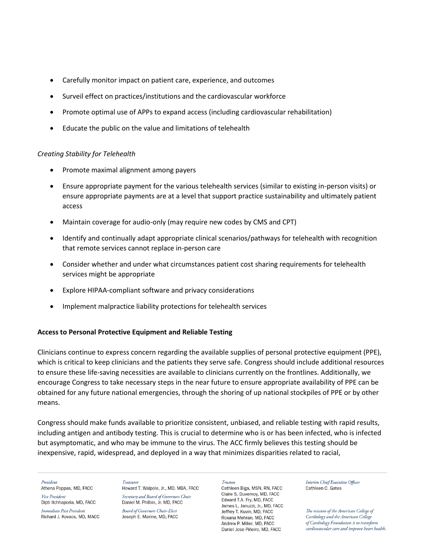- Carefully monitor impact on patient care, experience, and outcomes
- Surveil effect on practices/institutions and the cardiovascular workforce
- Promote optimal use of APPs to expand access (including cardiovascular rehabilitation)
- Educate the public on the value and limitations of telehealth

### *Creating Stability for Telehealth*

- Promote maximal alignment among payers
- Ensure appropriate payment for the various telehealth services (similar to existing in-person visits) or ensure appropriate payments are at a level that support practice sustainability and ultimately patient access
- Maintain coverage for audio-only (may require new codes by CMS and CPT)
- Identify and continually adapt appropriate clinical scenarios/pathways for telehealth with recognition that remote services cannot replace in-person care
- Consider whether and under what circumstances patient cost sharing requirements for telehealth services might be appropriate
- Explore HIPAA-compliant software and privacy considerations
- Implement malpractice liability protections for telehealth services

## **Access to Personal Protective Equipment and Reliable Testing**

Clinicians continue to express concern regarding the available supplies of personal protective equipment (PPE), which is critical to keep clinicians and the patients they serve safe. Congress should include additional resources to ensure these life-saving necessities are available to clinicians currently on the frontlines. Additionally, we encourage Congress to take necessary steps in the near future to ensure appropriate availability of PPE can be obtained for any future national emergencies, through the shoring of up national stockpiles of PPE or by other means.

Congress should make funds available to prioritize consistent, unbiased, and reliable testing with rapid results, including antigen and antibody testing. This is crucial to determine who is or has been infected, who is infected but asymptomatic, and who may be immune to the virus. The ACC firmly believes this testing should be inexpensive, rapid, widespread, and deployed in a way that minimizes disparities related to racial,

President

Athena Poppas, MD, FACC Vice President Dipti Itchhaporia, MD, FACC

Immediate Past President Richard J. Kovacs, MD, MACC

Treasurer Howard T. Walpole, Jr., MD, MBA, FACC

Secretary and Board of Governors Chair Daniel M. Philbin, Jr. MD, FACC

**Board of Governors Chair-Elect** Joseph E. Marine, MD, FACC

#### Trustees

Cathleen Biga, MSN, RN, FACC Claire S. Duvernov. MD. FACC Edward T.A. Fry, MD, FACC James L. Januzzi, Jr., MD, FACC Jeffrey T. Kuvin, MD, FACC Roxana Mehran, MD, FACC Andrew P. Miller, MD. FACC Daniel Jose Piñeiro, MD, FACC

Interim Chief Executive Officer Cathleen C. Gates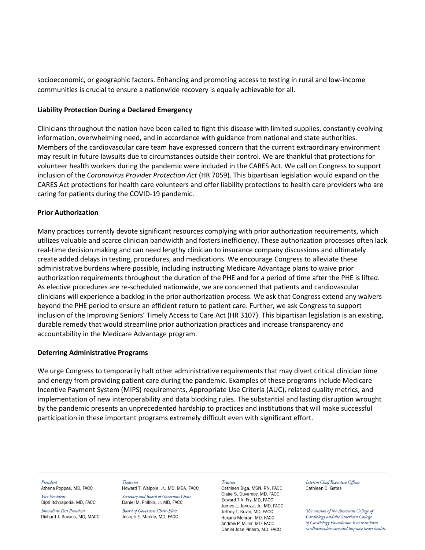socioeconomic, or geographic factors. Enhancing and promoting access to testing in rural and low-income communities is crucial to ensure a nationwide recovery is equally achievable for all.

#### **Liability Protection During a Declared Emergency**

Clinicians throughout the nation have been called to fight this disease with limited supplies, constantly evolving information, overwhelming need, and in accordance with guidance from national and state authorities. Members of the cardiovascular care team have expressed concern that the current extraordinary environment may result in future lawsuits due to circumstances outside their control. We are thankful that protections for volunteer health workers during the pandemic were included in the CARES Act. We call on Congress to support inclusion of the *Coronavirus Provider Protection Act* (HR 7059). This bipartisan legislation would expand on the CARES Act protections for health care volunteers and offer liability protections to health care providers who are caring for patients during the COVID-19 pandemic.

### **Prior Authorization**

Many practices currently devote significant resources complying with prior authorization requirements, which utilizes valuable and scarce clinician bandwidth and fosters inefficiency. These authorization processes often lack real-time decision making and can need lengthy clinician to insurance company discussions and ultimately create added delays in testing, procedures, and medications. We encourage Congress to alleviate these administrative burdens where possible, including instructing Medicare Advantage plans to waive prior authorization requirements throughout the duration of the PHE and for a period of time after the PHE is lifted. As elective procedures are re-scheduled nationwide, we are concerned that patients and cardiovascular clinicians will experience a backlog in the prior authorization process. We ask that Congress extend any waivers beyond the PHE period to ensure an efficient return to patient care. Further, we ask Congress to support inclusion of the Improving Seniors' Timely Access to Care Act (HR 3107). This bipartisan legislation is an existing, durable remedy that would streamline prior authorization practices and increase transparency and accountability in the Medicare Advantage program.

## **Deferring Administrative Programs**

We urge Congress to temporarily halt other administrative requirements that may divert critical clinician time and energy from providing patient care during the pandemic. Examples of these programs include Medicare Incentive Payment System (MIPS) requirements, Appropriate Use Criteria (AUC), related quality metrics, and implementation of new interoperability and data blocking rules. The substantial and lasting disruption wrought by the pandemic presents an unprecedented hardship to practices and institutions that will make successful participation in these important programs extremely difficult even with significant effort.

President

Athena Poppas, MD, FACC Vice President

Dipti Itchhaporia, MD, FACC Immediate Past President Richard J. Kovacs, MD, MACC Treasurer

Howard T. Walpole, Jr., MD, MBA, FACC Secretary and Board of Governors Chair Daniel M. Philbin, Jr. MD, FACC

Board of Governors Chair-Elect Joseph E. Marine, MD, FACC

#### Trustees

Cathleen Biga, MSN, RN, FACC Claire S. Duvernov, MD. FACC Edward T.A. Fry, MD, FACC James L. Januzzi, Jr., MD, FACC Jeffrey T. Kuvin, MD, FACC Roxana Mehran, MD, FACC Andrew P. Miller, MD. FACC Daniel Jose Piñeiro, MD, FACC

Interim Chief Executive Officer Cathleen C. Gates